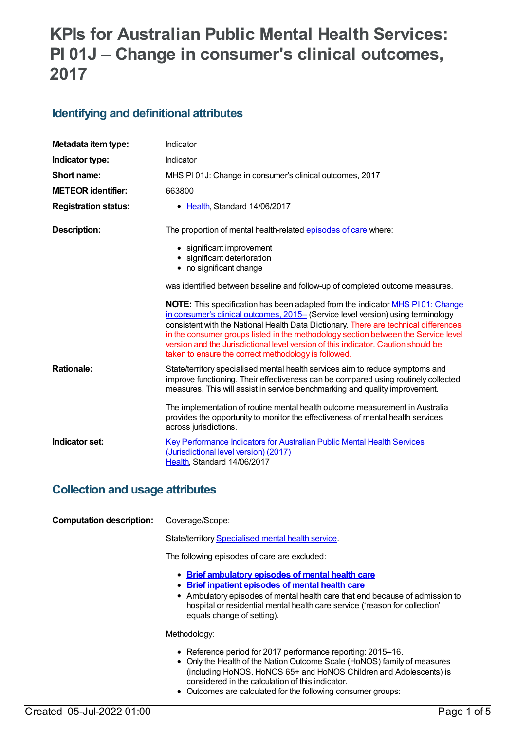# **KPIs for Australian Public Mental Health Services: PI 01J – Change in consumer's clinical outcomes, 2017**

### **Identifying and definitional attributes**

| Metadata item type:         | Indicator                                                                                                                                                                                                                                                                                                                                                                                                                                                                                           |
|-----------------------------|-----------------------------------------------------------------------------------------------------------------------------------------------------------------------------------------------------------------------------------------------------------------------------------------------------------------------------------------------------------------------------------------------------------------------------------------------------------------------------------------------------|
| Indicator type:             | Indicator                                                                                                                                                                                                                                                                                                                                                                                                                                                                                           |
| Short name:                 | MHS PI01J: Change in consumer's clinical outcomes, 2017                                                                                                                                                                                                                                                                                                                                                                                                                                             |
| <b>METEOR</b> identifier:   | 663800                                                                                                                                                                                                                                                                                                                                                                                                                                                                                              |
| <b>Registration status:</b> | Health, Standard 14/06/2017                                                                                                                                                                                                                                                                                                                                                                                                                                                                         |
| <b>Description:</b>         | The proportion of mental health-related episodes of care where:                                                                                                                                                                                                                                                                                                                                                                                                                                     |
|                             | • significant improvement                                                                                                                                                                                                                                                                                                                                                                                                                                                                           |
|                             | • significant deterioration<br>• no significant change                                                                                                                                                                                                                                                                                                                                                                                                                                              |
|                             | was identified between baseline and follow-up of completed outcome measures.                                                                                                                                                                                                                                                                                                                                                                                                                        |
|                             | <b>NOTE:</b> This specification has been adapted from the indicator MHS P101: Change<br>in consumer's clinical outcomes, 2015- (Service level version) using terminology<br>consistent with the National Health Data Dictionary. There are technical differences<br>in the consumer groups listed in the methodology section between the Service level<br>version and the Jurisdictional level version of this indicator. Caution should be<br>taken to ensure the correct methodology is followed. |
| <b>Rationale:</b>           | State/territory specialised mental health services aim to reduce symptoms and<br>improve functioning. Their effectiveness can be compared using routinely collected<br>measures. This will assist in service benchmarking and quality improvement.                                                                                                                                                                                                                                                  |
|                             | The implementation of routine mental health outcome measurement in Australia<br>provides the opportunity to monitor the effectiveness of mental health services<br>across jurisdictions.                                                                                                                                                                                                                                                                                                            |
| Indicator set:              | <b>Key Performance Indicators for Australian Public Mental Health Services</b><br>(Jurisdictional level version) (2017)<br>Health, Standard 14/06/2017                                                                                                                                                                                                                                                                                                                                              |

### **Collection and usage attributes**

| <b>Computation description:</b> | Coverage/Scope:                                                                                                                                                      |
|---------------------------------|----------------------------------------------------------------------------------------------------------------------------------------------------------------------|
|                                 | State/territory Specialised mental health service.                                                                                                                   |
|                                 | The following episodes of care are excluded:                                                                                                                         |
|                                 | • Brief ambulatory episodes of mental health care<br>and the first second contains and a second contact the section of the second second second second second second |

- **Brief inpatient [episodes](https://meteor.aihw.gov.au/content/605550) of mental health care**
- Ambulatory episodes of mental health care that end because of admission to hospital or residential mental health care service ('reason for collection' equals change of setting).

Methodology:

- Reference period for 2017 performance reporting: 2015-16.
- Only the Health of the Nation Outcome Scale (HoNOS) family of measures (including HoNOS, HoNOS 65+ and HoNOS Children and Adolescents) is considered in the calculation of this indicator.
- Outcomes are calculated for the following consumer groups: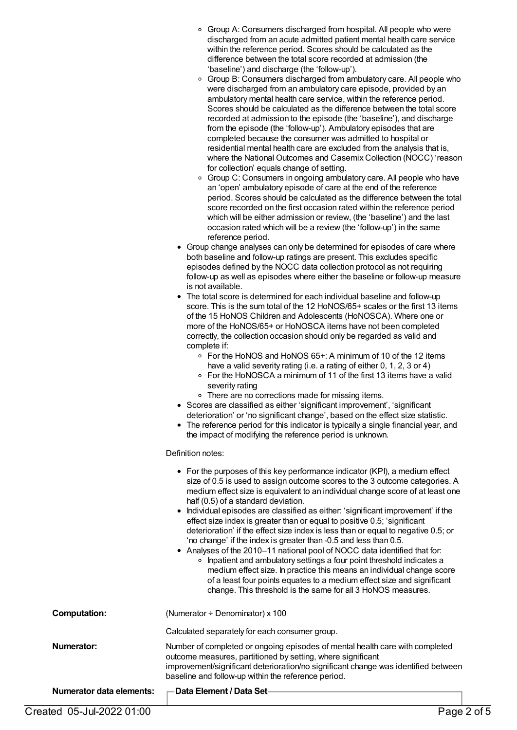- ∘ Group A: Consumers discharged from hospital. All people who were discharged from an acute admitted patient mental health care service within the reference period. Scores should be calculated as the difference between the total score recorded at admission (the 'baseline') and discharge (the 'follow-up').
- Group B: Consumers discharged from ambulatory care. All people who were discharged from an ambulatory care episode, provided by an ambulatory mental health care service, within the reference period. Scores should be calculated as the difference between the total score recorded at admission to the episode (the 'baseline'), and discharge from the episode (the 'follow-up'). Ambulatory episodes that are completed because the consumer was admitted to hospital or residential mental health care are excluded from the analysis that is, where the National Outcomes and Casemix Collection (NOCC) 'reason for collection' equals change of setting.
- Group C: Consumers in ongoing ambulatory care. All people who have an 'open' ambulatory episode of care at the end of the reference period. Scores should be calculated as the difference between the total score recorded on the first occasion rated within the reference period which will be either admission or review, (the 'baseline') and the last occasion rated which will be a review (the 'follow-up') in the same reference period.
- Group change analyses can only be determined for episodes of care where both baseline and follow-up ratings are present. This excludes specific episodes defined by the NOCC data collection protocol as not requiring follow-up as well as episodes where either the baseline or follow-up measure is not available.
- The total score is determined for each individual baseline and follow-up score. This is the sum total of the 12 HoNOS/65+ scales or the first 13 items of the 15 HoNOS Children and Adolescents (HoNOSCA). Where one or more of the HoNOS/65+ or HoNOSCA items have not been completed correctly, the collection occasion should only be regarded as valid and complete if:
	- For the HoNOS and HoNOS 65+: A minimum of 10 of the 12 items have a valid severity rating (i.e. a rating of either 0, 1, 2, 3 or 4)
	- For the HoNOSCA a minimum of 11 of the first 13 items have a valid severity rating
	- There are no corrections made for missing items.
- Scores are classified as either 'significant improvement', 'significant deterioration' or 'no significant change', based on the effect size statistic.
- The reference period for this indicator is typically a single financial year, and the impact of modifying the reference period is unknown.

#### Definition notes:

|                                 | • For the purposes of this key performance indicator (KPI), a medium effect<br>size of 0.5 is used to assign outcome scores to the 3 outcome categories. A<br>medium effect size is equivalent to an individual change score of at least one<br>half (0.5) of a standard deviation.<br>• Individual episodes are classified as either: 'significant improvement' if the<br>effect size index is greater than or equal to positive 0.5; 'significant<br>deterioration' if the effect size index is less than or equal to negative 0.5; or<br>'no change' if the index is greater than -0.5 and less than 0.5.<br>• Analyses of the 2010-11 national pool of NOCC data identified that for:<br>o Inpatient and ambulatory settings a four point threshold indicates a<br>medium effect size. In practice this means an individual change score<br>of a least four points equates to a medium effect size and significant<br>change. This threshold is the same for all 3 HoNOS measures. |
|---------------------------------|----------------------------------------------------------------------------------------------------------------------------------------------------------------------------------------------------------------------------------------------------------------------------------------------------------------------------------------------------------------------------------------------------------------------------------------------------------------------------------------------------------------------------------------------------------------------------------------------------------------------------------------------------------------------------------------------------------------------------------------------------------------------------------------------------------------------------------------------------------------------------------------------------------------------------------------------------------------------------------------|
| <b>Computation:</b>             | (Numerator $\div$ Denominator) x 100                                                                                                                                                                                                                                                                                                                                                                                                                                                                                                                                                                                                                                                                                                                                                                                                                                                                                                                                                   |
|                                 | Calculated separately for each consumer group.                                                                                                                                                                                                                                                                                                                                                                                                                                                                                                                                                                                                                                                                                                                                                                                                                                                                                                                                         |
| Numerator:                      | Number of completed or ongoing episodes of mental health care with completed<br>outcome measures, partitioned by setting, where significant<br>improvement/significant deterioration/no significant change was identified between<br>baseline and follow-up within the reference period.                                                                                                                                                                                                                                                                                                                                                                                                                                                                                                                                                                                                                                                                                               |
| <b>Numerator data elements:</b> | Data Element / Data Set                                                                                                                                                                                                                                                                                                                                                                                                                                                                                                                                                                                                                                                                                                                                                                                                                                                                                                                                                                |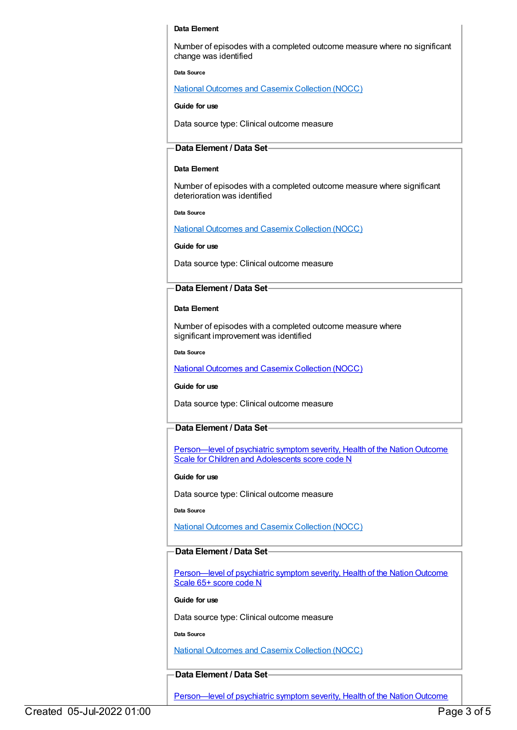#### **Data Element**

Number of episodes with a completed outcome measure where no significant change was identified

**Data Source**

National [Outcomes](file:///content/636931) and Casemix Collection (NOCC)

**Guide for use**

Data source type: Clinical outcome measure

#### **Data Element / Data Set**

#### **Data Element**

Number of episodes with a completed outcome measure where significant deterioration was identified

**Data Source**

National [Outcomes](file:///content/636931) and Casemix Collection (NOCC)

**Guide for use**

Data source type: Clinical outcome measure

#### **Data Element / Data Set**

#### **Data Element**

Number of episodes with a completed outcome measure where significant improvement was identified

**Data Source**

National [Outcomes](file:///content/636931) and Casemix Collection (NOCC)

#### **Guide for use**

Data source type: Clinical outcome measure

#### **Data Element / Data Set**

Person—level of psychiatric symptom severity, Health of the Nation Outcome Scale for Children and Adolescents score code N

#### **Guide for use**

Data source type: Clinical outcome measure

**Data Source**

National [Outcomes](file:///content/636931) and Casemix Collection (NOCC)

#### **Data Element / Data Set**

Person—level of psychiatric symptom severity, Health of the Nation Outcome Scale 65+ score code N

#### **Guide for use**

Data source type: Clinical outcome measure

**Data Source**

National [Outcomes](file:///content/636931) and Casemix Collection (NOCC)

#### **Data Element / Data Set**

Person—level of psychiatric symptom severity, Health of the Nation Outcome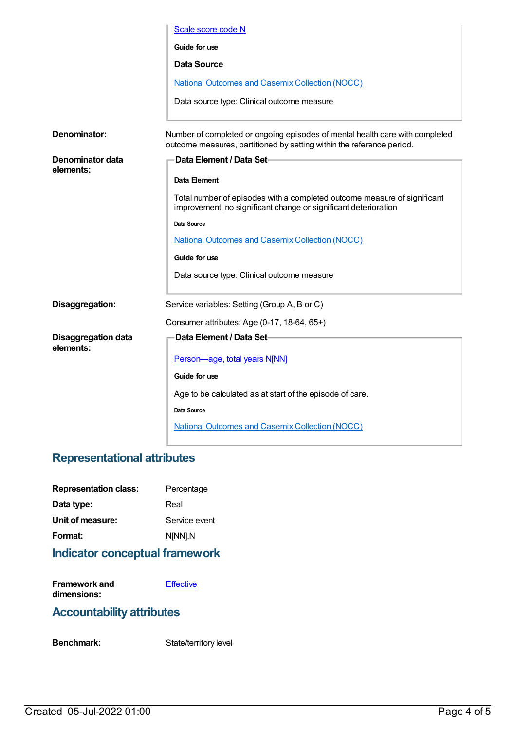| Scale score code N                                                                                                                                    |
|-------------------------------------------------------------------------------------------------------------------------------------------------------|
| Guide for use                                                                                                                                         |
| <b>Data Source</b>                                                                                                                                    |
| <b>National Outcomes and Casemix Collection (NOCC)</b>                                                                                                |
| Data source type: Clinical outcome measure                                                                                                            |
| Number of completed or ongoing episodes of mental health care with completed<br>outcome measures, partitioned by setting within the reference period. |
| Data Element / Data Set-                                                                                                                              |
| Data Element                                                                                                                                          |
| Total number of episodes with a completed outcome measure of significant<br>improvement, no significant change or significant deterioration           |
| Data Source                                                                                                                                           |
| <b>National Outcomes and Casemix Collection (NOCC)</b>                                                                                                |
| Guide for use                                                                                                                                         |
| Data source type: Clinical outcome measure                                                                                                            |
| Service variables: Setting (Group A, B or C)                                                                                                          |
| Consumer attributes: Age (0-17, 18-64, 65+)                                                                                                           |
| Data Element / Data Set-                                                                                                                              |
| Person-age, total years N[NN]                                                                                                                         |
| Guide for use                                                                                                                                         |
| Age to be calculated as at start of the episode of care.                                                                                              |
| Data Source                                                                                                                                           |
| <b>National Outcomes and Casemix Collection (NOCC)</b>                                                                                                |
|                                                                                                                                                       |

## **Representational attributes**

| <b>Representation class:</b> | Percentage    |
|------------------------------|---------------|
| Data type:                   | Real          |
| Unit of measure:             | Service event |
| Format:                      | N[NN].N       |
|                              |               |

## **Indicator conceptual framework**

| <b>Framework and</b> | Effective |
|----------------------|-----------|
| dimensions:          |           |

## **Accountability attributes**

Benchmark: State/territory level